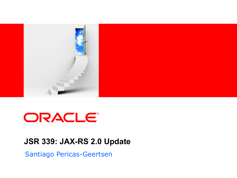

# ORACLE®

#### **JSR 339: JAX-RS 2.0 Update**

Santiago Pericas-Geertsen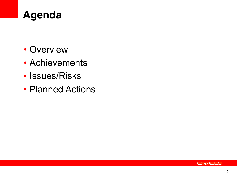

- Overview
- Achievements
- Issues/Risks
- Planned Actions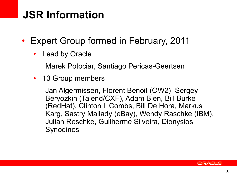### **JSR Information**

- Expert Group formed in February, 2011
	- **Lead by Oracle**

Marek Potociar, Santiago Pericas-Geertsen

• 13 Group members

Jan Algermissen, Florent Benoit (OW2), Sergey Beryozkin (Talend/CXF), Adam Bien, Bill Burke (RedHat), Clinton L Combs, Bill De Hora, Markus Karg, Sastry Mallady (eBay), Wendy Raschke (IBM), Julian Reschke, Guilherme Silveira, Dionysios Synodinos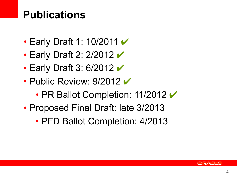### **Publications**

- Early Draft 1: 10/2011  $\checkmark$
- Early Draft 2: 2/2012  $\checkmark$
- Early Draft 3: 6/2012  $\checkmark$
- Public Review:  $9/2012 \vee$ 
	- PR Ballot Completion: 11/2012  $\checkmark$
- Proposed Final Draft: late 3/2013
	- PFD Ballot Completion: 4/2013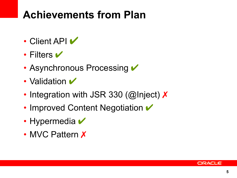### **Achievements from Plan**

- Client API  $\blacktriangledown$
- Filters  $\blacktriangledown$
- Asynchronous Processing  $\checkmark$
- Validation  $\blacktriangledown$
- Integration with JSR 330 (@Inject) X
- Improved Content Negotiation  $\checkmark$
- Hypermedia  $\blacktriangledown$
- MVC Pattern X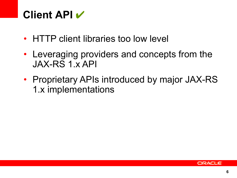### **Client API** ✔

- HTTP client libraries too low level
- Leveraging providers and concepts from the JAX-RS 1.x API
- Proprietary APIs introduced by major JAX-RS 1.x implementations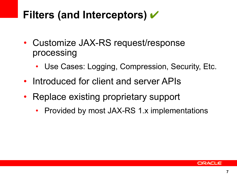### **Filters (and Interceptors)** ✔

- Customize JAX-RS request/response processing
	- Use Cases: Logging, Compression, Security, Etc.
- Introduced for client and server APIs
- Replace existing proprietary support
	- Provided by most JAX-RS 1.x implementations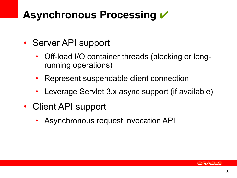### **Asynchronous Processing** ✔

- Server API support
	- Off-load I/O container threads (blocking or longrunning operations)
	- Represent suspendable client connection
	- Leverage Servlet 3.x async support (if available)
- Client API support
	- Asynchronous request invocation API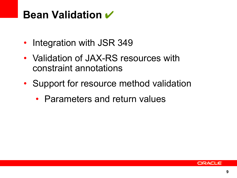#### **Bean Validation** ✔

- Integration with JSR 349
- Validation of JAX-RS resources with constraint annotations
- Support for resource method validation
	- Parameters and return values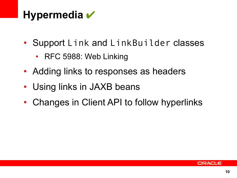### **Hypermedia** ✔

- Support Link and LinkBuilder classes
	- RFC 5988: Web Linking
- Adding links to responses as headers
- Using links in JAXB beans
- Changes in Client API to follow hyperlinks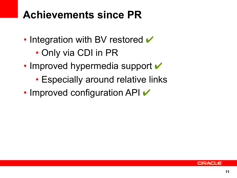### **Achievements since PR**

- Integration with BV restored  $\checkmark$ 
	- Only via CDI in PR
- Improved hypermedia support  $\checkmark$ 
	- Especially around relative links
- Improved configuration API  $\vee$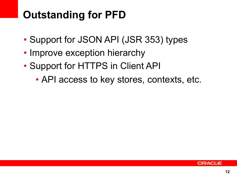## **Outstanding for PFD**

- Support for JSON API (JSR 353) types
- Improve exception hierarchy
- Support for HTTPS in Client API
	- API access to key stores, contexts, etc.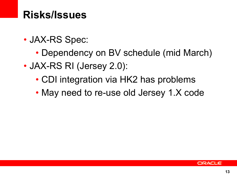#### **Risks/Issues**

- JAX-RS Spec:
	- Dependency on BV schedule (mid March)
- JAX-RS RI (Jersey 2.0):
	- CDI integration via HK2 has problems
	- May need to re-use old Jersey 1.X code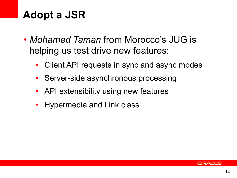### **Adopt a JSR**

- *Mohamed Taman* from Morocco's JUG is helping us test drive new features:
	- Client API requests in sync and async modes
	- Server-side asynchronous processing
	- API extensibility using new features
	- Hypermedia and Link class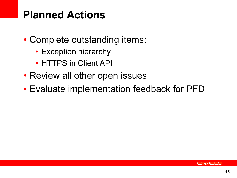### **Planned Actions**

- Complete outstanding items:
	- Exception hierarchy
	- HTTPS in Client API
- Review all other open issues
- Evaluate implementation feedback for PFD